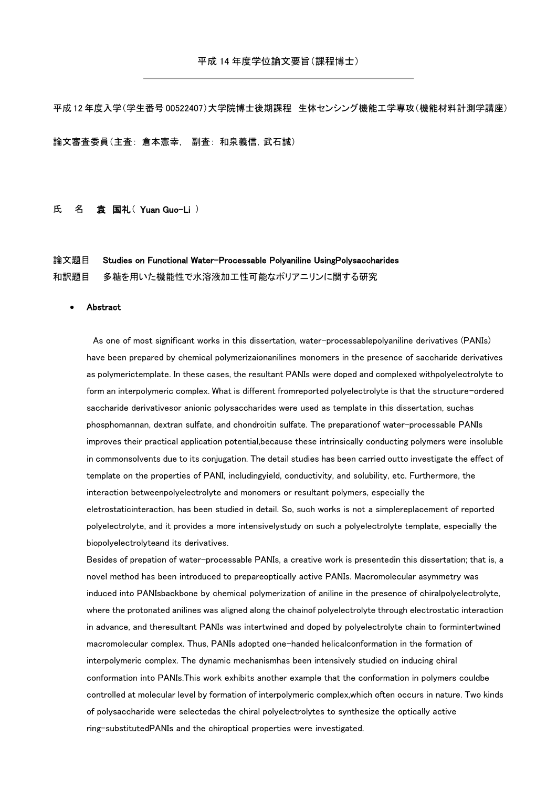平成 12 年度入学(学生番号 00522407)大学院博士後期課程 生体センシング機能工学専攻(機能材料計測学講座)

論文審査委員(主査: 倉本憲幸, 副査: 和泉義信,武石誠)

## 氏 名 袁 国礼(Yuan Guo-Li)

論文題目 Studies on Functional Water-Processable Polyaniline UsingPolysaccharides

和訳題目 多糖を用いた機能性で水溶液加工性可能なポリアニリンに関する研究

## Abstract

 As one of most significant works in this dissertation, water-processablepolyaniline derivatives (PANIs) have been prepared by chemical polymerizaionanilines monomers in the presence of saccharide derivatives as polymerictemplate. In these cases, the resultant PANIs were doped and complexed withpolyelectrolyte to form an interpolymeric complex. What is different fromreported polyelectrolyte is that the structure-ordered saccharide derivativesor anionic polysaccharides were used as template in this dissertation, suchas phosphomannan, dextran sulfate, and chondroitin sulfate. The preparationof water-processable PANIs improves their practical application potential,because these intrinsically conducting polymers were insoluble in commonsolvents due to its conjugation. The detail studies has been carried outto investigate the effect of template on the properties of PANI, includingyield, conductivity, and solubility, etc. Furthermore, the interaction betweenpolyelectrolyte and monomers or resultant polymers, especially the eletrostaticinteraction, has been studied in detail. So, such works is not a simplereplacement of reported polyelectrolyte, and it provides a more intensivelystudy on such a polyelectrolyte template, especially the biopolyelectrolyteand its derivatives.

Besides of prepation of water-processable PANIs, a creative work is presentedin this dissertation; that is, a novel method has been introduced to prepareoptically active PANIs. Macromolecular asymmetry was induced into PANIsbackbone by chemical polymerization of aniline in the presence of chiralpolyelectrolyte, where the protonated anilines was aligned along the chainof polyelectrolyte through electrostatic interaction in advance, and theresultant PANIs was intertwined and doped by polyelectrolyte chain to formintertwined macromolecular complex. Thus, PANIs adopted one-handed helicalconformation in the formation of interpolymeric complex. The dynamic mechanismhas been intensively studied on inducing chiral conformation into PANIs.This work exhibits another example that the conformation in polymers couldbe controlled at molecular level by formation of interpolymeric complex,which often occurs in nature. Two kinds of polysaccharide were selectedas the chiral polyelectrolytes to synthesize the optically active ring-substitutedPANIs and the chiroptical properties were investigated.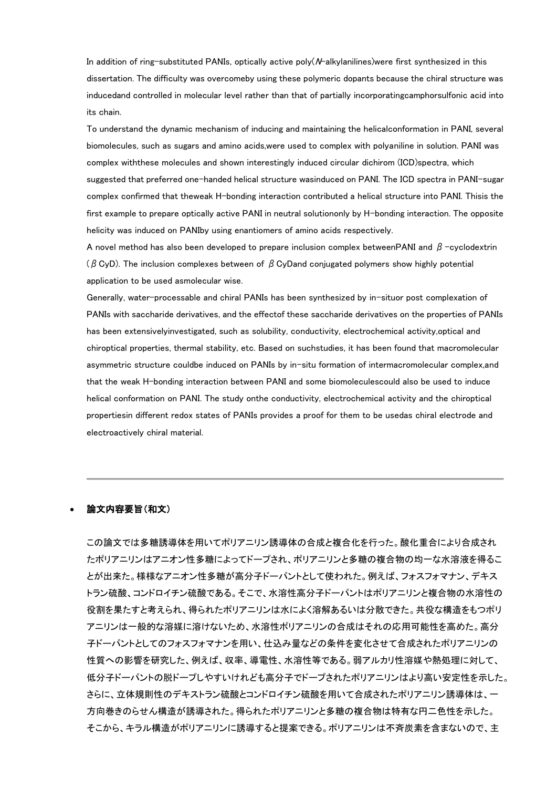In addition of ring-substituted PANIs, optically active poly(N-alkylanilines)were first synthesized in this dissertation. The difficulty was overcomeby using these polymeric dopants because the chiral structure was inducedand controlled in molecular level rather than that of partially incorporatingcamphorsulfonic acid into its chain.

To understand the dynamic mechanism of inducing and maintaining the helicalconformation in PANI, several biomolecules, such as sugars and amino acids,were used to complex with polyaniline in solution. PANI was complex withthese molecules and shown interestingly induced circular dichirom (ICD)spectra, which suggested that preferred one-handed helical structure wasinduced on PANI. The ICD spectra in PANI-sugar complex confirmed that theweak H-bonding interaction contributed a helical structure into PANI. Thisis the first example to prepare optically active PANI in neutral solutiononly by H-bonding interaction. The opposite helicity was induced on PANIby using enantiomers of amino acids respectively.

A novel method has also been developed to prepare inclusion complex betweenPANI and  $\beta$ -cyclodextrin ( $\beta$  CyD). The inclusion complexes between of  $\beta$  CyDand conjugated polymers show highly potential application to be used asmolecular wise.

Generally, water-processable and chiral PANIs has been synthesized by in-situor post complexation of PANIs with saccharide derivatives, and the effectof these saccharide derivatives on the properties of PANIs has been extensivelyinvestigated, such as solubility, conductivity, electrochemical activity,optical and chiroptical properties, thermal stability, etc. Based on suchstudies, it has been found that macromolecular asymmetric structure couldbe induced on PANIs by in-situ formation of intermacromolecular complex,and that the weak H-bonding interaction between PANI and some biomoleculescould also be used to induce helical conformation on PANI. The study onthe conductivity, electrochemical activity and the chiroptical propertiesin different redox states of PANIs provides a proof for them to be usedas chiral electrode and electroactively chiral material.

## 論文内容要旨(和文)

この論文では多糖誘導体を用いてポリアニリン誘導体の合成と複合化を行った。酸化重合により合成され たポリアニリンはアニオン性多糖によってドープされ、ポリアニリンと多糖の複合物の均一な水溶液を得るこ とが出来た。様様なアニオン性多糖が高分子ドーパントとして使われた。例えば、フォスフォマナン、デキス トラン硫酸、コンドロイチン硫酸である。そこで、水溶性高分子ドーパントはポリアニリンと複合物の水溶性の 役割を果たすと考えられ、得られたポリアニリンは水によく溶解あるいは分散できた。共役な構造をもつポリ アニリンは一般的な溶媒に溶けないため、水溶性ポリアニリンの合成はそれの応用可能性を高めた。高分 子ドーパントとしてのフォスフォマナンを用い、仕込み量などの条件を変化させて合成されたポリアニリンの 性質への影響を研究した、例えば、収率、導電性、水溶性等である。弱アルカリ性溶媒や熱処理に対して、 低分子ドーパントの脱ドープしやすいけれども高分子でドープされたポリアニリンはより高い安定性を示した。 さらに、立体規則性のデキストラン硫酸とコンドロイチン硫酸を用いて合成されたポリアニリン誘導体は、一 方向巻きのらせん構造が誘導された。得られたポリアニリンと多糖の複合物は特有な円二色性を示した。 そこから、キラル構造がポリアニリンに誘導すると提案できる。ポリアニリンは不斉炭素を含まないので、主